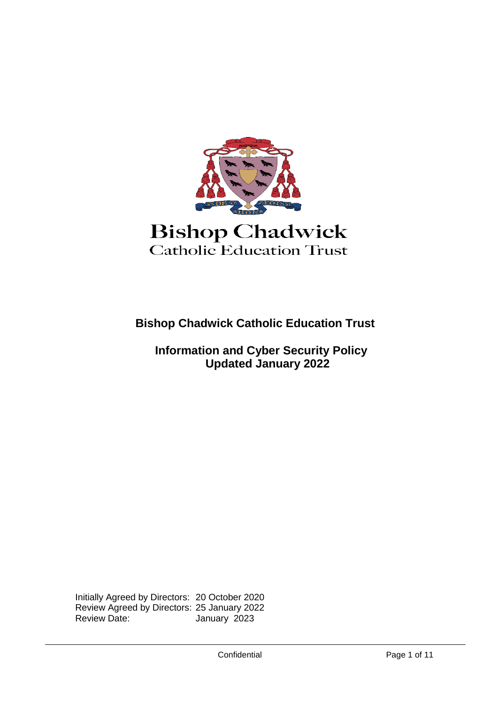

**Bishop Chadwick Catholic Education Trust**

 **Information and Cyber Security Policy Updated January 2022**

Initially Agreed by Directors: 20 October 2020 Review Agreed by Directors: 25 January 2022 January 2023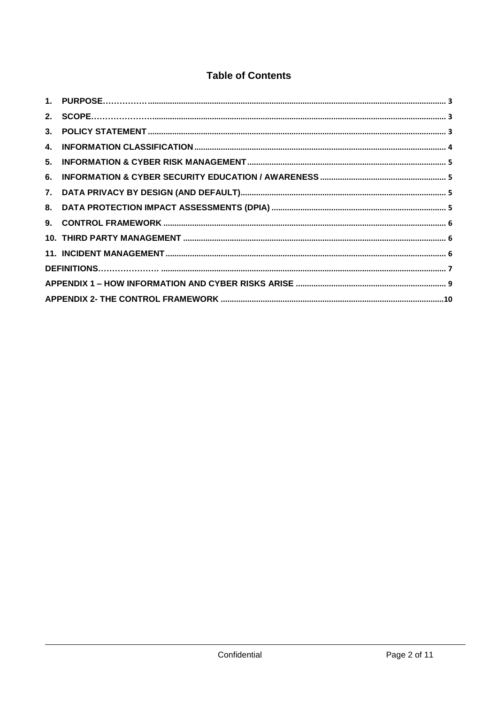## **Table of Contents**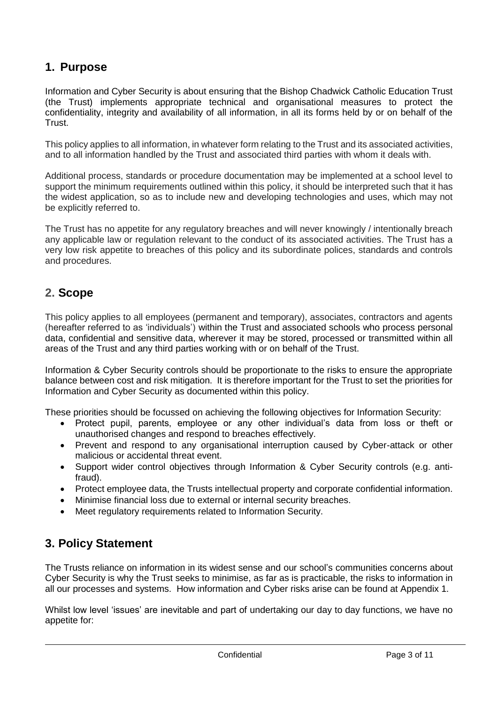# <span id="page-2-0"></span>**1. Purpose**

Information and Cyber Security is about ensuring that the Bishop Chadwick Catholic Education Trust (the Trust) implements appropriate technical and organisational measures to protect the confidentiality, integrity and availability of all information, in all its forms held by or on behalf of the Trust.

This policy applies to all information, in whatever form relating to the Trust and its associated activities, and to all information handled by the Trust and associated third parties with whom it deals with.

Additional process, standards or procedure documentation may be implemented at a school level to support the minimum requirements outlined within this policy, it should be interpreted such that it has the widest application, so as to include new and developing technologies and uses, which may not be explicitly referred to.

The Trust has no appetite for any regulatory breaches and will never knowingly / intentionally breach any applicable law or regulation relevant to the conduct of its associated activities. The Trust has a very low risk appetite to breaches of this policy and its subordinate polices, standards and controls and procedures.

## <span id="page-2-1"></span>**2. Scope**

This policy applies to all employees (permanent and temporary), associates, contractors and agents (hereafter referred to as 'individuals') within the Trust and associated schools who process personal data, confidential and sensitive data, wherever it may be stored, processed or transmitted within all areas of the Trust and any third parties working with or on behalf of the Trust.

Information & Cyber Security controls should be proportionate to the risks to ensure the appropriate balance between cost and risk mitigation. It is therefore important for the Trust to set the priorities for Information and Cyber Security as documented within this policy.

These priorities should be focussed on achieving the following objectives for Information Security:

- Protect pupil, parents, employee or any other individual's data from loss or theft or unauthorised changes and respond to breaches effectively.
- Prevent and respond to any organisational interruption caused by Cyber-attack or other malicious or accidental threat event.
- Support wider control objectives through Information & Cyber Security controls (e.g. antifraud).
- Protect employee data, the Trusts intellectual property and corporate confidential information.
- Minimise financial loss due to external or internal security breaches.
- Meet regulatory requirements related to Information Security.

## <span id="page-2-2"></span>**3. Policy Statement**

The Trusts reliance on information in its widest sense and our school's communities concerns about Cyber Security is why the Trust seeks to minimise, as far as is practicable, the risks to information in all our processes and systems. How information and Cyber risks arise can be found at Appendix 1.

Whilst low level 'issues' are inevitable and part of undertaking our day to day functions, we have no appetite for: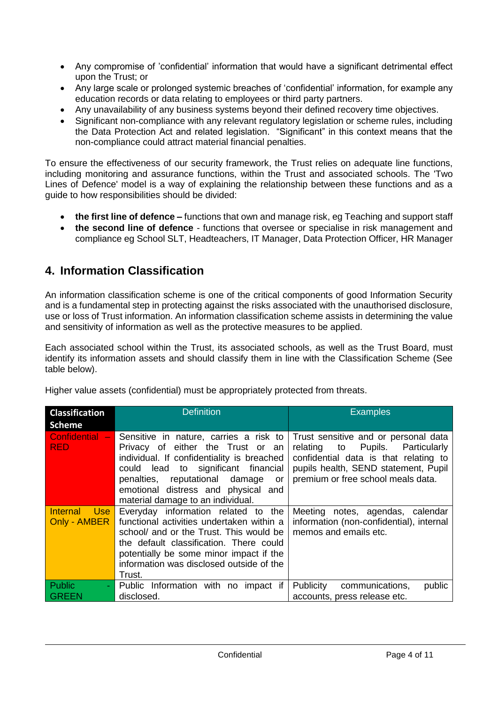- Any compromise of 'confidential' information that would have a significant detrimental effect upon the Trust; or
- Any large scale or prolonged systemic breaches of 'confidential' information, for example any education records or data relating to employees or third party partners.
- Any unavailability of any business systems beyond their defined recovery time objectives.
- Significant non-compliance with any relevant regulatory legislation or scheme rules, including the Data Protection Act and related legislation. "Significant" in this context means that the non-compliance could attract material financial penalties.

To ensure the effectiveness of our security framework, the Trust relies on adequate line functions, including monitoring and assurance functions, within the Trust and associated schools. The 'Two Lines of Defence' model is a way of explaining the relationship between these functions and as a guide to how responsibilities should be divided:

- **the first line of defence –** functions that own and manage risk, eg Teaching and support staff
- **the second line of defence** functions that oversee or specialise in risk management and compliance eg School SLT, Headteachers, IT Manager, Data Protection Officer, HR Manager

# <span id="page-3-0"></span>**4. Information Classification**

An information classification scheme is one of the critical components of good Information Security and is a fundamental step in protecting against the risks associated with the unauthorised disclosure, use or loss of Trust information. An information classification scheme assists in determining the value and sensitivity of information as well as the protective measures to be applied.

Each associated school within the Trust, its associated schools, as well as the Trust Board, must identify its information assets and should classify them in line with the Classification Scheme (See table below).

|  | Higher value assets (confidential) must be appropriately protected from threats. |
|--|----------------------------------------------------------------------------------|
|  |                                                                                  |
|  |                                                                                  |
|  |                                                                                  |

| <b>Classification</b>                                         | <b>Definition</b>                                                                                                                                                                                                                                                                    | <b>Examples</b>                                                                                                                                                                                    |
|---------------------------------------------------------------|--------------------------------------------------------------------------------------------------------------------------------------------------------------------------------------------------------------------------------------------------------------------------------------|----------------------------------------------------------------------------------------------------------------------------------------------------------------------------------------------------|
| <b>Scheme</b>                                                 |                                                                                                                                                                                                                                                                                      |                                                                                                                                                                                                    |
| <b>Confidential</b><br>$\overline{\phantom{a}}$<br><b>RED</b> | Sensitive in nature, carries a risk to<br>Privacy of either the Trust or an<br>individual. If confidentiality is breached<br>could lead to significant financial<br>penalties, reputational damage<br>or<br>emotional distress and physical and<br>material damage to an individual. | Trust sensitive and or personal data<br>Pupils. Particularly<br>relating to<br>confidential data is that relating to<br>pupils health, SEND statement, Pupil<br>premium or free school meals data. |
| <b>Internal</b><br>Use<br>Only - AMBER                        | Everyday information related to the<br>functional activities undertaken within a<br>school/ and or the Trust. This would be<br>the default classification. There could<br>potentially be some minor impact if the<br>information was disclosed outside of the<br>Trust.              | Meeting notes, agendas, calendar<br>information (non-confidential), internal<br>memos and emails etc.                                                                                              |
| Public                                                        | Public Information with no impact if                                                                                                                                                                                                                                                 | <b>Publicity</b><br>communications,<br>public                                                                                                                                                      |
| <b>GREEN</b>                                                  | disclosed.                                                                                                                                                                                                                                                                           | accounts, press release etc.                                                                                                                                                                       |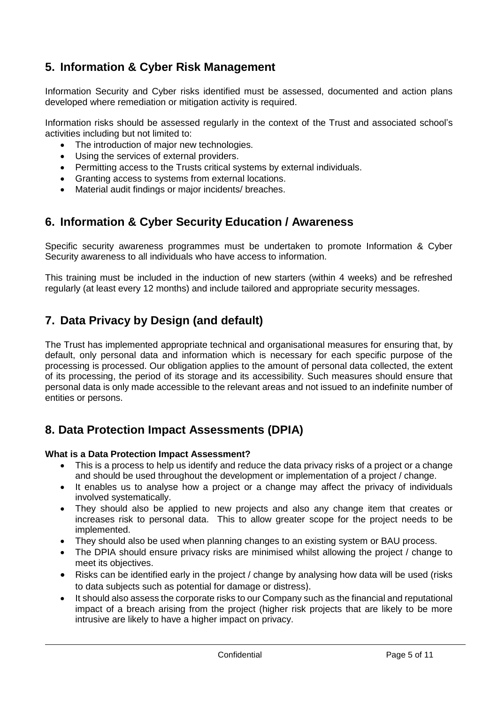# <span id="page-4-0"></span>**5. Information & Cyber Risk Management**

Information Security and Cyber risks identified must be assessed, documented and action plans developed where remediation or mitigation activity is required.

Information risks should be assessed regularly in the context of the Trust and associated school's activities including but not limited to:

- The introduction of major new technologies.
- Using the services of external providers.
- Permitting access to the Trusts critical systems by external individuals.
- Granting access to systems from external locations.
- Material audit findings or major incidents/ breaches.

## <span id="page-4-1"></span>**6. Information & Cyber Security Education / Awareness**

Specific security awareness programmes must be undertaken to promote Information & Cyber Security awareness to all individuals who have access to information.

This training must be included in the induction of new starters (within 4 weeks) and be refreshed regularly (at least every 12 months) and include tailored and appropriate security messages.

# <span id="page-4-2"></span>**7. Data Privacy by Design (and default)**

The Trust has implemented appropriate technical and organisational measures for ensuring that, by default, only personal data and information which is necessary for each specific purpose of the processing is processed. Our obligation applies to the amount of personal data collected, the extent of its processing, the period of its storage and its accessibility. Such measures should ensure that personal data is only made accessible to the relevant areas and not issued to an indefinite number of entities or persons.

## <span id="page-4-3"></span>**8. Data Protection Impact Assessments (DPIA)**

### **What is a Data Protection Impact Assessment?**

- This is a process to help us identify and reduce the data privacy risks of a project or a change and should be used throughout the development or implementation of a project / change.
- It enables us to analyse how a project or a change may affect the privacy of individuals involved systematically.
- They should also be applied to new projects and also any change item that creates or increases risk to personal data. This to allow greater scope for the project needs to be implemented.
- They should also be used when planning changes to an existing system or BAU process.
- The DPIA should ensure privacy risks are minimised whilst allowing the project / change to meet its objectives.
- Risks can be identified early in the project / change by analysing how data will be used (risks to data subjects such as potential for damage or distress).
- It should also assess the corporate risks to our Company such as the financial and reputational impact of a breach arising from the project (higher risk projects that are likely to be more intrusive are likely to have a higher impact on privacy.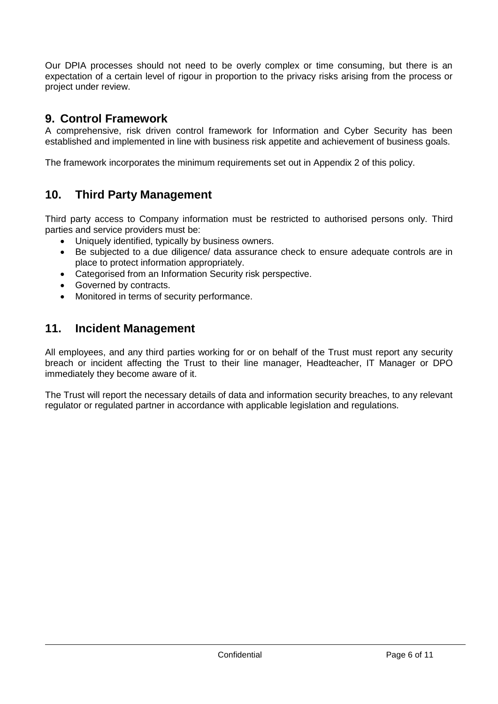Our DPIA processes should not need to be overly complex or time consuming, but there is an expectation of a certain level of rigour in proportion to the privacy risks arising from the process or project under review.

### <span id="page-5-0"></span>**9. Control Framework**

A comprehensive, risk driven control framework for Information and Cyber Security has been established and implemented in line with business risk appetite and achievement of business goals.

<span id="page-5-1"></span>The framework incorporates the minimum requirements set out in Appendix 2 of this policy.

## **10. Third Party Management**

Third party access to Company information must be restricted to authorised persons only. Third parties and service providers must be:

- Uniquely identified, typically by business owners.
- Be subjected to a due diligence/ data assurance check to ensure adequate controls are in place to protect information appropriately.
- Categorised from an Information Security risk perspective.
- Governed by contracts.
- <span id="page-5-2"></span>• Monitored in terms of security performance.

### **11. Incident Management**

All employees, and any third parties working for or on behalf of the Trust must report any security breach or incident affecting the Trust to their line manager, Headteacher, IT Manager or DPO immediately they become aware of it.

The Trust will report the necessary details of data and information security breaches, to any relevant regulator or regulated partner in accordance with applicable legislation and regulations.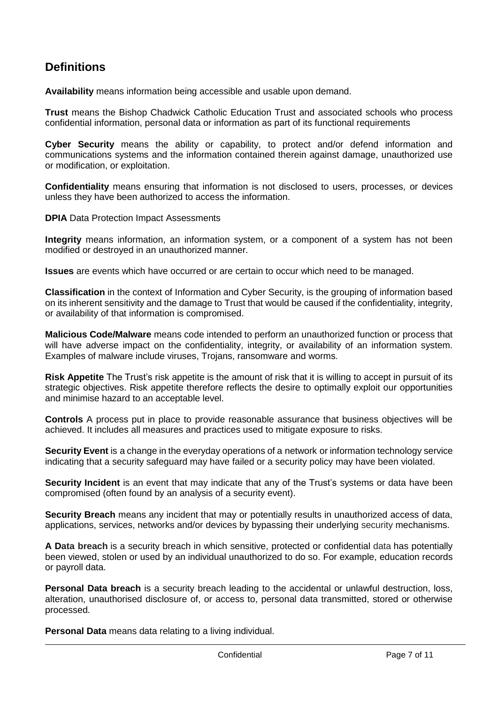# <span id="page-6-0"></span>**Definitions**

**Availability** means information being accessible and usable upon demand.

**Trust** means the Bishop Chadwick Catholic Education Trust and associated schools who process confidential information, personal data or information as part of its functional requirements

**Cyber Security** means the ability or capability, to protect and/or defend information and communications systems and the information contained therein against damage, unauthorized use or modification, or exploitation.

**Confidentiality** means ensuring that information is not disclosed to users, processes, or devices unless they have been authorized to access the information.

**DPIA Data Protection Impact Assessments** 

**Integrity** means information, an information system, or a component of a system has not been modified or destroyed in an unauthorized manner.

**Issues** are events which have occurred or are certain to occur which need to be managed.

**Classification** in the context of Information and Cyber Security, is the grouping of information based on its inherent sensitivity and the damage to Trust that would be caused if the confidentiality, integrity, or availability of that information is compromised.

**Malicious Code/Malware** means code intended to perform an unauthorized function or process that will have adverse impact on the confidentiality, integrity, or availability of an information system. Examples of malware include viruses, Trojans, ransomware and worms.

**Risk Appetite** The Trust's risk appetite is the amount of risk that it is willing to accept in pursuit of its strategic objectives. Risk appetite therefore reflects the desire to optimally exploit our opportunities and minimise hazard to an acceptable level.

**Controls** A process put in place to provide reasonable assurance that business objectives will be achieved. It includes all measures and practices used to mitigate exposure to risks.

**Security Event** is a change in the everyday operations of a network or information technology service indicating that a security safeguard may have failed or a security policy may have been violated.

**Security Incident** is an event that may indicate that any of the Trust's systems or data have been compromised (often found by an analysis of a security event).

**Security Breach** means any incident that may or potentially results in unauthorized access of data, applications, services, networks and/or devices by bypassing their underlying security mechanisms.

**A Data breach** is a security breach in which sensitive, protected or confidential data has potentially been viewed, stolen or used by an individual unauthorized to do so. For example, education records or payroll data.

**Personal Data breach** is a security breach leading to the accidental or unlawful destruction, loss, alteration, unauthorised disclosure of, or access to, personal data transmitted, stored or otherwise processed.

**Personal Data** means data relating to a living individual.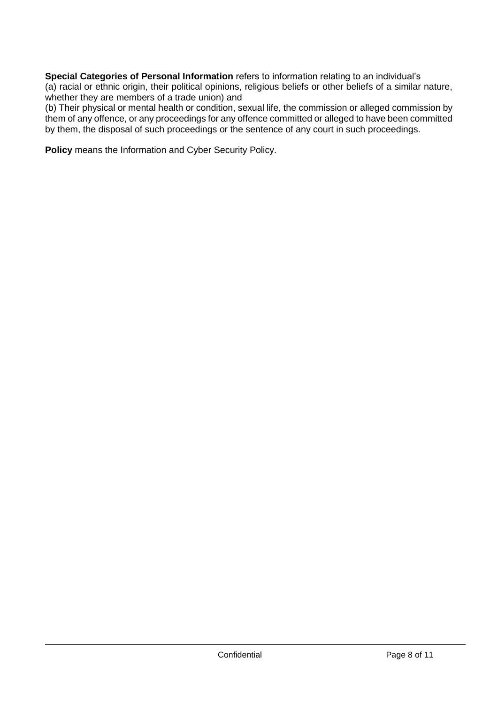**Special Categories of Personal Information** refers to information relating to an individual's (a) racial or ethnic origin, their political opinions, religious beliefs or other beliefs of a similar nature, whether they are members of a trade union) and

(b) Their physical or mental health or condition, sexual life, the commission or alleged commission by them of any offence, or any proceedings for any offence committed or alleged to have been committed by them, the disposal of such proceedings or the sentence of any court in such proceedings.

**Policy** means the Information and Cyber Security Policy.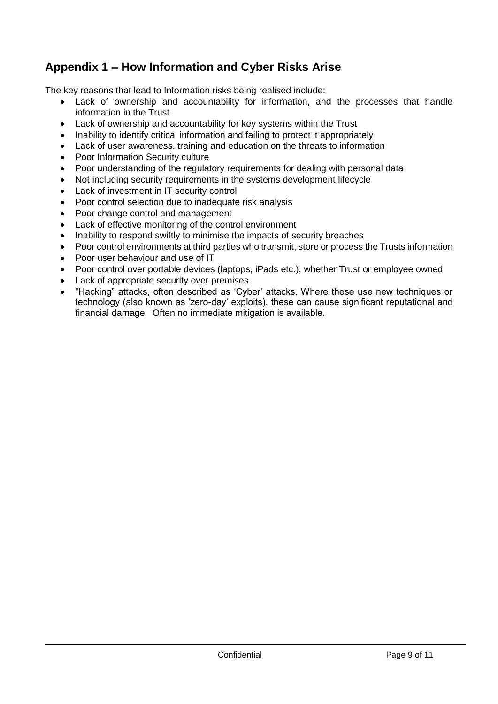# <span id="page-8-0"></span>**Appendix 1 – How Information and Cyber Risks Arise**

The key reasons that lead to Information risks being realised include:

- Lack of ownership and accountability for information, and the processes that handle information in the Trust
- Lack of ownership and accountability for key systems within the Trust
- Inability to identify critical information and failing to protect it appropriately
- Lack of user awareness, training and education on the threats to information
- Poor Information Security culture
- Poor understanding of the regulatory requirements for dealing with personal data
- Not including security requirements in the systems development lifecycle
- Lack of investment in IT security control
- Poor control selection due to inadequate risk analysis
- Poor change control and management
- Lack of effective monitoring of the control environment
- Inability to respond swiftly to minimise the impacts of security breaches
- Poor control environments at third parties who transmit, store or process the Trusts information
- Poor user behaviour and use of IT
- Poor control over portable devices (laptops, iPads etc.), whether Trust or employee owned
- Lack of appropriate security over premises
- "Hacking" attacks, often described as 'Cyber' attacks. Where these use new techniques or technology (also known as 'zero-day' exploits), these can cause significant reputational and financial damage. Often no immediate mitigation is available.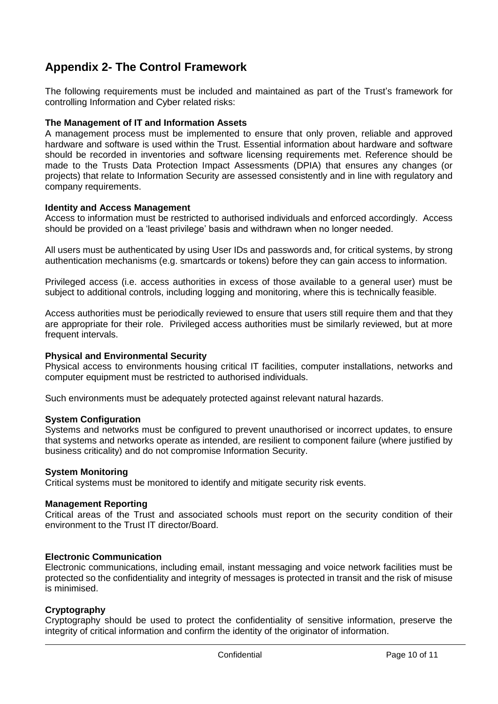# <span id="page-9-0"></span>**Appendix 2- The Control Framework**

The following requirements must be included and maintained as part of the Trust's framework for controlling Information and Cyber related risks:

#### **The Management of IT and Information Assets**

A management process must be implemented to ensure that only proven, reliable and approved hardware and software is used within the Trust. Essential information about hardware and software should be recorded in inventories and software licensing requirements met. Reference should be made to the Trusts Data Protection Impact Assessments (DPIA) that ensures any changes (or projects) that relate to Information Security are assessed consistently and in line with regulatory and company requirements.

#### **Identity and Access Management**

Access to information must be restricted to authorised individuals and enforced accordingly. Access should be provided on a 'least privilege' basis and withdrawn when no longer needed.

All users must be authenticated by using User IDs and passwords and, for critical systems, by strong authentication mechanisms (e.g. smartcards or tokens) before they can gain access to information.

Privileged access (i.e. access authorities in excess of those available to a general user) must be subject to additional controls, including logging and monitoring, where this is technically feasible.

Access authorities must be periodically reviewed to ensure that users still require them and that they are appropriate for their role. Privileged access authorities must be similarly reviewed, but at more frequent intervals.

#### **Physical and Environmental Security**

Physical access to environments housing critical IT facilities, computer installations, networks and computer equipment must be restricted to authorised individuals.

Such environments must be adequately protected against relevant natural hazards.

#### **System Configuration**

Systems and networks must be configured to prevent unauthorised or incorrect updates, to ensure that systems and networks operate as intended, are resilient to component failure (where justified by business criticality) and do not compromise Information Security.

#### **System Monitoring**

Critical systems must be monitored to identify and mitigate security risk events.

#### **Management Reporting**

Critical areas of the Trust and associated schools must report on the security condition of their environment to the Trust IT director/Board.

### **Electronic Communication**

Electronic communications, including email, instant messaging and voice network facilities must be protected so the confidentiality and integrity of messages is protected in transit and the risk of misuse is minimised.

### **Cryptography**

Cryptography should be used to protect the confidentiality of sensitive information, preserve the integrity of critical information and confirm the identity of the originator of information.